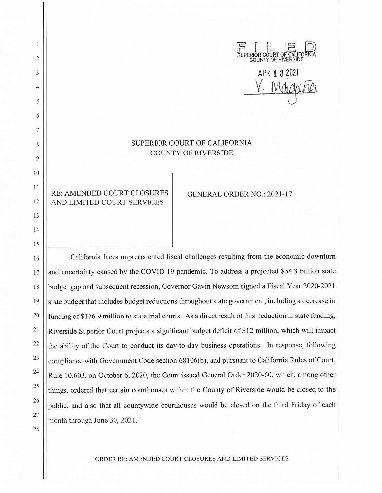$\mathbf{1}$  $\begin{array}{c}\n\begin{array}{c}\n\downarrow \\
\downarrow \\
\downarrow\n\end{array} \\
\text{SUPERIOR COURT OF CALIFORNIA}\n\end{array}$ 2 3 APR **1 3** <sup>2021</sup> 1. Mahome 4 5 6 7 SUPERIOR COURT OF CALIFORNIA 8 COUNTY OF RIVERSIDE 9 10 11 RE: AMENDED COURT CLOSURES GENERAL ORDER NO.: 2021-17 <sup>12</sup> | AND LIMITED COURT SERVICES 13 14 15 California faces unprecedented fiscal challenges resulting from the economic downturn 16 17 18 19 20

21 22 23 24 25 26 27 and uncertainty caused by the COVID-19 pandemic. To address a projected \$54.3 billion state budget gap and subsequent recession, Governor Gavin Newsom signed a Fiscal Year 2020-2021 state budget that includes budget reductions throughout state government, including a decrease in funding of \$176.9 million to state trial courts. As a direct result of this reduction in state funding, Riverside Superior Court projects a significant budget deficit of \$12 million, which will impact the ability of the Court to conduct its day-to-day business operations. In response, following compliance with Government Code section 68106(b), and pursuant to California Rules of Court, Rule 10.603, on October 6, 2020, the Court issued General Order 2020-60, which, among other things, ordered that certain courthouses within the County of Riverside would be closed to the public, and also that all countywide courthouses would be closed on the third Friday of each month through June 30, 2021.

ORDER RE: AMENDED COURT CLOSURES AND LIMITED SERVICES

28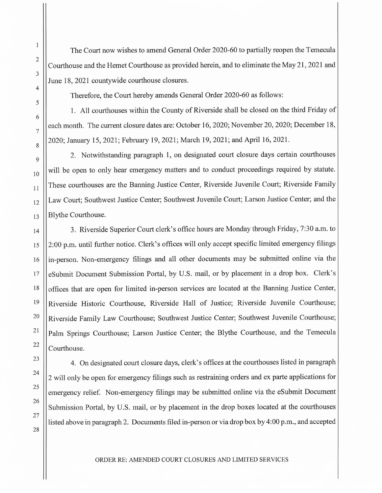The Court now wishes to amend General Order 2020-60 to partially reopen the Temecula Courthouse and the Hemet Courthouse as provided herein, and to eliminate the May 21, 2021 and June 18, 2021 countywide courthouse closures.

Therefore, the Court hereby amends General Order 2020-60 as follows:

1. All courthouses within the County of Riverside shall be closed on the third Friday of each month. The current closure dates are: October 16, 2020; November 20, 2020; December 18, 2020; January 15, 2021; February 19, 2021; March 19, 2021; and April 16, 2021.

2. Notwithstanding paragraph 1, on designated court closure days certain courthouses will be open to only hear emergency matters and to conduct proceedings required by statute. These courthouses are the Banning Justice Center, Riverside Juvenile Court; Riverside Family Law Court; Southwest Justice Center; Southwest Juvenile Court; Larson Justice Center; and the Blythe Courthouse.

3. Riverside Superior Court clerk's office hours are Monday through Friday, 7:30 a.m. to 2:00 p.m. until further notice. Clerk's offices will only accept specific limited emergency filings in-person. Non-emergency filings and all other documents may be submitted online via the eSubmit Document Submission Portal, by U.S. mail, or by placement in a drop box. Clerk's offices that are open for limited in-person services are located at the Banning Justice Center, Riverside Historic Courthouse, Riverside Hall of Justice; Riverside Juvenile Courthouse; Riverside Family Law Courthouse; Southwest Justice Center; Southwest Juvenile Courthouse; Palm Springs Courthouse; Larson Justice Center; the Blythe Courthouse, and the Temecula Courthouse.

4. On designated court closure days, clerk's offices at the courthouses listed in paragraph  $\frac{24}{2}$   $\sqrt{2}$  will only be open for emergency filings such as restraining orders and ex parte applications for emergency relief. Non-emergency filings may be submitted online via the eSubmit Document Submission Portal, by U.S. mail, or by placement in the drop boxes located at the courthouses listed above in paragraph 2. Documents filed in-person or via drop box by 4:00 p.m., and accepted

ORDER RE: AMENDED COURT CLOSURES AND LIMITED SERVICES